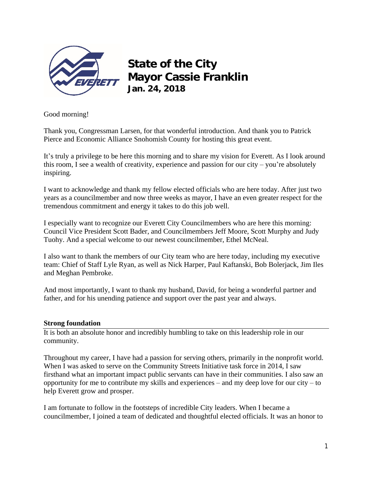

# **State of the City Mayor Cassie Franklin Jan. 24, 2018**

Good morning!

Thank you, Congressman Larsen, for that wonderful introduction. And thank you to Patrick Pierce and Economic Alliance Snohomish County for hosting this great event.

It's truly a privilege to be here this morning and to share my vision for Everett. As I look around this room, I see a wealth of creativity, experience and passion for our city – you're absolutely inspiring.

I want to acknowledge and thank my fellow elected officials who are here today. After just two years as a councilmember and now three weeks as mayor, I have an even greater respect for the tremendous commitment and energy it takes to do this job well.

I especially want to recognize our Everett City Councilmembers who are here this morning: Council Vice President Scott Bader, and Councilmembers Jeff Moore, Scott Murphy and Judy Tuohy. And a special welcome to our newest councilmember, Ethel McNeal.

I also want to thank the members of our City team who are here today, including my executive team: Chief of Staff Lyle Ryan, as well as Nick Harper, Paul Kaftanski, Bob Bolerjack, Jim Iles and Meghan Pembroke.

And most importantly, I want to thank my husband, David, for being a wonderful partner and father, and for his unending patience and support over the past year and always.

## **Strong foundation**

It is both an absolute honor and incredibly humbling to take on this leadership role in our community.

Throughout my career, I have had a passion for serving others, primarily in the nonprofit world. When I was asked to serve on the Community Streets Initiative task force in 2014, I saw firsthand what an important impact public servants can have in their communities. I also saw an opportunity for me to contribute my skills and experiences – and my deep love for our city – to help Everett grow and prosper.

I am fortunate to follow in the footsteps of incredible City leaders. When I became a councilmember, I joined a team of dedicated and thoughtful elected officials. It was an honor to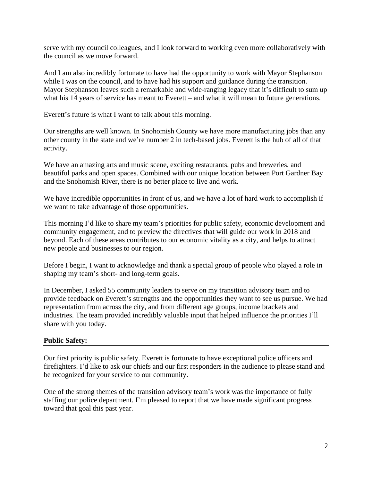serve with my council colleagues, and I look forward to working even more collaboratively with the council as we move forward.

And I am also incredibly fortunate to have had the opportunity to work with Mayor Stephanson while I was on the council, and to have had his support and guidance during the transition. Mayor Stephanson leaves such a remarkable and wide-ranging legacy that it's difficult to sum up what his 14 years of service has meant to Everett – and what it will mean to future generations.

Everett's future is what I want to talk about this morning.

Our strengths are well known. In Snohomish County we have more manufacturing jobs than any other county in the state and we're number 2 in tech-based jobs. Everett is the hub of all of that activity.

We have an amazing arts and music scene, exciting restaurants, pubs and breweries, and beautiful parks and open spaces. Combined with our unique location between Port Gardner Bay and the Snohomish River, there is no better place to live and work.

We have incredible opportunities in front of us, and we have a lot of hard work to accomplish if we want to take advantage of those opportunities.

This morning I'd like to share my team's priorities for public safety, economic development and community engagement, and to preview the directives that will guide our work in 2018 and beyond. Each of these areas contributes to our economic vitality as a city, and helps to attract new people and businesses to our region.

Before I begin, I want to acknowledge and thank a special group of people who played a role in shaping my team's short- and long-term goals.

In December, I asked 55 community leaders to serve on my transition advisory team and to provide feedback on Everett's strengths and the opportunities they want to see us pursue. We had representation from across the city, and from different age groups, income brackets and industries. The team provided incredibly valuable input that helped influence the priorities I'll share with you today.

## **Public Safety:**

Our first priority is public safety. Everett is fortunate to have exceptional police officers and firefighters. I'd like to ask our chiefs and our first responders in the audience to please stand and be recognized for your service to our community.

One of the strong themes of the transition advisory team's work was the importance of fully staffing our police department. I'm pleased to report that we have made significant progress toward that goal this past year.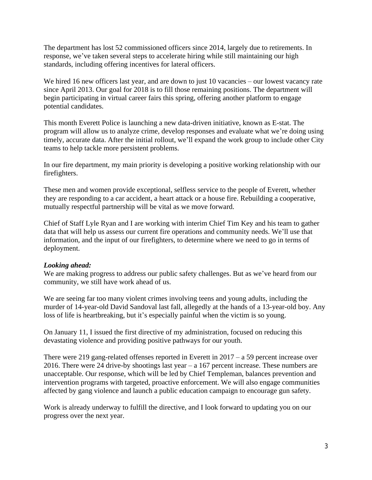The department has lost 52 commissioned officers since 2014, largely due to retirements. In response, we've taken several steps to accelerate hiring while still maintaining our high standards, including offering incentives for lateral officers.

We hired 16 new officers last year, and are down to just 10 vacancies – our lowest vacancy rate since April 2013. Our goal for 2018 is to fill those remaining positions. The department will begin participating in virtual career fairs this spring, offering another platform to engage potential candidates.

This month Everett Police is launching a new data-driven initiative, known as E-stat. The program will allow us to analyze crime, develop responses and evaluate what we're doing using timely, accurate data. After the initial rollout, we'll expand the work group to include other City teams to help tackle more persistent problems.

In our fire department, my main priority is developing a positive working relationship with our firefighters.

These men and women provide exceptional, selfless service to the people of Everett, whether they are responding to a car accident, a heart attack or a house fire. Rebuilding a cooperative, mutually respectful partnership will be vital as we move forward.

Chief of Staff Lyle Ryan and I are working with interim Chief Tim Key and his team to gather data that will help us assess our current fire operations and community needs. We'll use that information, and the input of our firefighters, to determine where we need to go in terms of deployment.

#### *Looking ahead:*

We are making progress to address our public safety challenges. But as we've heard from our community, we still have work ahead of us.

We are seeing far too many violent crimes involving teens and young adults, including the murder of 14-year-old David Sandoval last fall, allegedly at the hands of a 13-year-old boy. Any loss of life is heartbreaking, but it's especially painful when the victim is so young.

On January 11, I issued the first directive of my administration, focused on reducing this devastating violence and providing positive pathways for our youth.

There were 219 gang-related offenses reported in Everett in  $2017 - a$  59 percent increase over 2016. There were 24 drive-by shootings last year  $- a 167$  percent increase. These numbers are unacceptable. Our response, which will be led by Chief Templeman, balances prevention and intervention programs with targeted, proactive enforcement. We will also engage communities affected by gang violence and launch a public education campaign to encourage gun safety.

Work is already underway to fulfill the directive, and I look forward to updating you on our progress over the next year.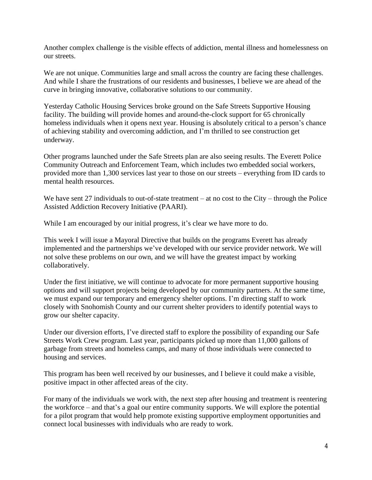Another complex challenge is the visible effects of addiction, mental illness and homelessness on our streets.

We are not unique. Communities large and small across the country are facing these challenges. And while I share the frustrations of our residents and businesses, I believe we are ahead of the curve in bringing innovative, collaborative solutions to our community.

Yesterday Catholic Housing Services broke ground on the Safe Streets Supportive Housing facility. The building will provide homes and around-the-clock support for 65 chronically homeless individuals when it opens next year. Housing is absolutely critical to a person's chance of achieving stability and overcoming addiction, and I'm thrilled to see construction get underway.

Other programs launched under the Safe Streets plan are also seeing results. The Everett Police Community Outreach and Enforcement Team, which includes two embedded social workers, provided more than 1,300 services last year to those on our streets – everything from ID cards to mental health resources.

We have sent 27 individuals to out-of-state treatment – at no cost to the City – through the Police Assisted Addiction Recovery Initiative (PAARI).

While I am encouraged by our initial progress, it's clear we have more to do.

This week I will issue a Mayoral Directive that builds on the programs Everett has already implemented and the partnerships we've developed with our service provider network. We will not solve these problems on our own, and we will have the greatest impact by working collaboratively.

Under the first initiative, we will continue to advocate for more permanent supportive housing options and will support projects being developed by our community partners. At the same time, we must expand our temporary and emergency shelter options. I'm directing staff to work closely with Snohomish County and our current shelter providers to identify potential ways to grow our shelter capacity.

Under our diversion efforts, I've directed staff to explore the possibility of expanding our Safe Streets Work Crew program. Last year, participants picked up more than 11,000 gallons of garbage from streets and homeless camps, and many of those individuals were connected to housing and services.

This program has been well received by our businesses, and I believe it could make a visible, positive impact in other affected areas of the city.

For many of the individuals we work with, the next step after housing and treatment is reentering the workforce – and that's a goal our entire community supports. We will explore the potential for a pilot program that would help promote existing supportive employment opportunities and connect local businesses with individuals who are ready to work.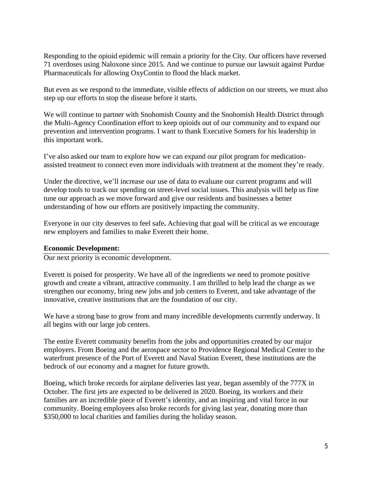Responding to the opioid epidemic will remain a priority for the City. Our officers have reversed 71 overdoses using Naloxone since 2015. And we continue to pursue our lawsuit against Purdue Pharmaceuticals for allowing OxyContin to flood the black market.

But even as we respond to the immediate, visible effects of addiction on our streets, we must also step up our efforts to stop the disease before it starts.

We will continue to partner with Snohomish County and the Snohomish Health District through the Multi-Agency Coordination effort to keep opioids out of our community and to expand our prevention and intervention programs. I want to thank Executive Somers for his leadership in this important work.

I've also asked our team to explore how we can expand our pilot program for medicationassisted treatment to connect even more individuals with treatment at the moment they're ready.

Under the directive, we'll increase our use of data to evaluate our current programs and will develop tools to track our spending on street-level social issues. This analysis will help us fine tune our approach as we move forward and give our residents and businesses a better understanding of how our efforts are positively impacting the community.

Everyone in our city deserves to feel safe**.** Achieving that goal will be critical as we encourage new employers and families to make Everett their home.

#### **Economic Development:**

Our next priority is economic development.

Everett is poised for prosperity. We have all of the ingredients we need to promote positive growth and create a vibrant, attractive community. I am thrilled to help lead the charge as we strengthen our economy, bring new jobs and job centers to Everett, and take advantage of the innovative, creative institutions that are the foundation of our city.

We have a strong base to grow from and many incredible developments currently underway. It all begins with our large job centers.

The entire Everett community benefits from the jobs and opportunities created by our major employers. From Boeing and the aerospace sector to Providence Regional Medical Center to the waterfront presence of the Port of Everett and Naval Station Everett, these institutions are the bedrock of our economy and a magnet for future growth.

Boeing, which broke records for airplane deliveries last year, began assembly of the 777X in October. The first jets are expected to be delivered in 2020. Boeing, its workers and their families are an incredible piece of Everett's identity, and an inspiring and vital force in our community. Boeing employees also broke records for giving last year, donating more than \$350,000 to local charities and families during the holiday season.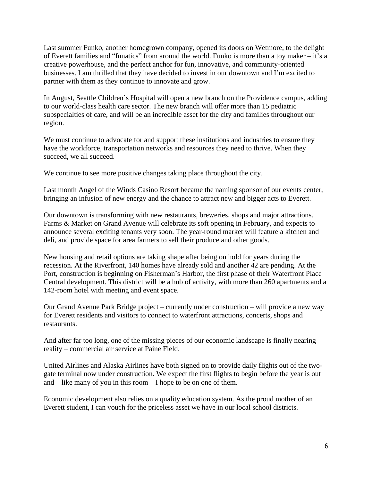Last summer Funko, another homegrown company, opened its doors on Wetmore, to the delight of Everett families and "funatics" from around the world. Funko is more than a toy maker – it's a creative powerhouse, and the perfect anchor for fun, innovative, and community-oriented businesses. I am thrilled that they have decided to invest in our downtown and I'm excited to partner with them as they continue to innovate and grow.

In August, Seattle Children's Hospital will open a new branch on the Providence campus, adding to our world-class health care sector. The new branch will offer more than 15 pediatric subspecialties of care, and will be an incredible asset for the city and families throughout our region.

We must continue to advocate for and support these institutions and industries to ensure they have the workforce, transportation networks and resources they need to thrive. When they succeed, we all succeed.

We continue to see more positive changes taking place throughout the city.

Last month Angel of the Winds Casino Resort became the naming sponsor of our events center, bringing an infusion of new energy and the chance to attract new and bigger acts to Everett.

Our downtown is transforming with new restaurants, breweries, shops and major attractions. Farms & Market on Grand Avenue will celebrate its soft opening in February, and expects to announce several exciting tenants very soon. The year-round market will feature a kitchen and deli, and provide space for area farmers to sell their produce and other goods.

New housing and retail options are taking shape after being on hold for years during the recession. At the Riverfront, 140 homes have already sold and another 42 are pending. At the Port, construction is beginning on Fisherman's Harbor, the first phase of their Waterfront Place Central development. This district will be a hub of activity, with more than 260 apartments and a 142-room hotel with meeting and event space.

Our Grand Avenue Park Bridge project – currently under construction – will provide a new way for Everett residents and visitors to connect to waterfront attractions, concerts, shops and restaurants.

And after far too long, one of the missing pieces of our economic landscape is finally nearing reality – commercial air service at Paine Field.

United Airlines and Alaska Airlines have both signed on to provide daily flights out of the twogate terminal now under construction. We expect the first flights to begin before the year is out and – like many of you in this room – I hope to be on one of them.

Economic development also relies on a quality education system. As the proud mother of an Everett student, I can vouch for the priceless asset we have in our local school districts.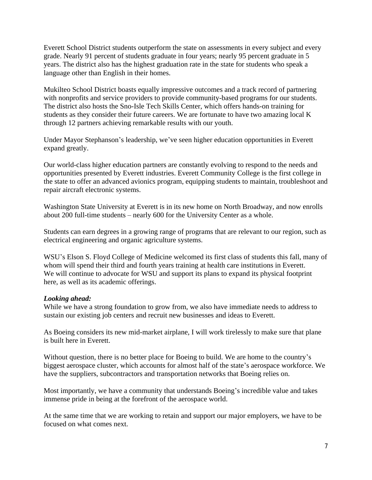Everett School District students outperform the state on assessments in every subject and every grade. Nearly 91 percent of students graduate in four years; nearly 95 percent graduate in 5 years. The district also has the highest graduation rate in the state for students who speak a language other than English in their homes.

Mukilteo School District boasts equally impressive outcomes and a track record of partnering with nonprofits and service providers to provide community-based programs for our students. The district also hosts the Sno-Isle Tech Skills Center, which offers hands-on training for students as they consider their future careers. We are fortunate to have two amazing local K through 12 partners achieving remarkable results with our youth.

Under Mayor Stephanson's leadership, we've seen higher education opportunities in Everett expand greatly.

Our world-class higher education partners are constantly evolving to respond to the needs and opportunities presented by Everett industries. Everett Community College is the first college in the state to offer an advanced avionics program, equipping students to maintain, troubleshoot and repair aircraft electronic systems.

Washington State University at Everett is in its new home on North Broadway, and now enrolls about 200 full-time students – nearly 600 for the University Center as a whole.

Students can earn degrees in a growing range of programs that are relevant to our region, such as electrical engineering and organic agriculture systems.

WSU's Elson S. Floyd College of Medicine welcomed its first class of students this fall, many of whom will spend their third and fourth years training at health care institutions in Everett. We will continue to advocate for WSU and support its plans to expand its physical footprint here, as well as its academic offerings.

## *Looking ahead:*

While we have a strong foundation to grow from, we also have immediate needs to address to sustain our existing job centers and recruit new businesses and ideas to Everett.

As Boeing considers its new mid-market airplane, I will work tirelessly to make sure that plane is built here in Everett.

Without question, there is no better place for Boeing to build. We are home to the country's biggest aerospace cluster, which accounts for almost half of the state's aerospace workforce. We have the suppliers, subcontractors and transportation networks that Boeing relies on.

Most importantly, we have a community that understands Boeing's incredible value and takes immense pride in being at the forefront of the aerospace world.

At the same time that we are working to retain and support our major employers, we have to be focused on what comes next.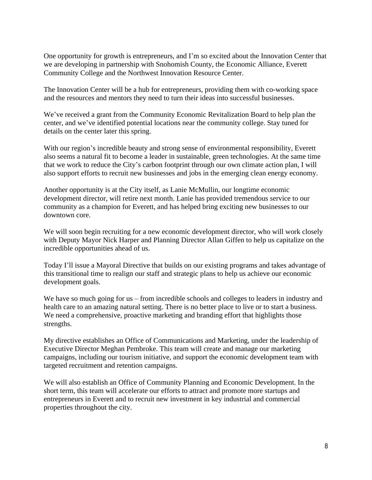One opportunity for growth is entrepreneurs, and I'm so excited about the Innovation Center that we are developing in partnership with Snohomish County, the Economic Alliance, Everett Community College and the Northwest Innovation Resource Center.

The Innovation Center will be a hub for entrepreneurs, providing them with co-working space and the resources and mentors they need to turn their ideas into successful businesses.

We've received a grant from the Community Economic Revitalization Board to help plan the center, and we've identified potential locations near the community college. Stay tuned for details on the center later this spring.

With our region's incredible beauty and strong sense of environmental responsibility, Everett also seems a natural fit to become a leader in sustainable, green technologies. At the same time that we work to reduce the City's carbon footprint through our own climate action plan, I will also support efforts to recruit new businesses and jobs in the emerging clean energy economy.

Another opportunity is at the City itself, as Lanie McMullin, our longtime economic development director, will retire next month. Lanie has provided tremendous service to our community as a champion for Everett, and has helped bring exciting new businesses to our downtown core.

We will soon begin recruiting for a new economic development director, who will work closely with Deputy Mayor Nick Harper and Planning Director Allan Giffen to help us capitalize on the incredible opportunities ahead of us.

Today I'll issue a Mayoral Directive that builds on our existing programs and takes advantage of this transitional time to realign our staff and strategic plans to help us achieve our economic development goals.

We have so much going for us – from incredible schools and colleges to leaders in industry and health care to an amazing natural setting. There is no better place to live or to start a business. We need a comprehensive, proactive marketing and branding effort that highlights those strengths.

My directive establishes an Office of Communications and Marketing, under the leadership of Executive Director Meghan Pembroke. This team will create and manage our marketing campaigns, including our tourism initiative, and support the economic development team with targeted recruitment and retention campaigns.

We will also establish an Office of Community Planning and Economic Development. In the short term, this team will accelerate our efforts to attract and promote more startups and entrepreneurs in Everett and to recruit new investment in key industrial and commercial properties throughout the city.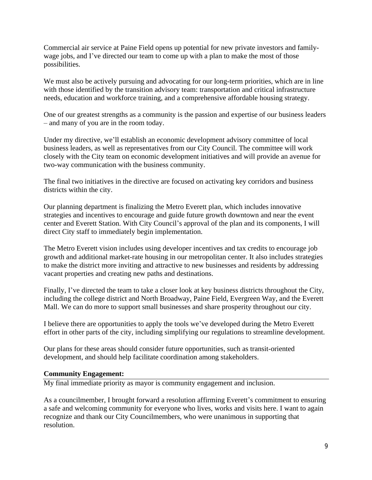Commercial air service at Paine Field opens up potential for new private investors and familywage jobs, and I've directed our team to come up with a plan to make the most of those possibilities.

We must also be actively pursuing and advocating for our long-term priorities, which are in line with those identified by the transition advisory team: transportation and critical infrastructure needs, education and workforce training, and a comprehensive affordable housing strategy.

One of our greatest strengths as a community is the passion and expertise of our business leaders – and many of you are in the room today.

Under my directive, we'll establish an economic development advisory committee of local business leaders, as well as representatives from our City Council. The committee will work closely with the City team on economic development initiatives and will provide an avenue for two-way communication with the business community.

The final two initiatives in the directive are focused on activating key corridors and business districts within the city.

Our planning department is finalizing the Metro Everett plan, which includes innovative strategies and incentives to encourage and guide future growth downtown and near the event center and Everett Station. With City Council's approval of the plan and its components, I will direct City staff to immediately begin implementation.

The Metro Everett vision includes using developer incentives and tax credits to encourage job growth and additional market-rate housing in our metropolitan center. It also includes strategies to make the district more inviting and attractive to new businesses and residents by addressing vacant properties and creating new paths and destinations.

Finally, I've directed the team to take a closer look at key business districts throughout the City, including the college district and North Broadway, Paine Field, Evergreen Way, and the Everett Mall. We can do more to support small businesses and share prosperity throughout our city.

I believe there are opportunities to apply the tools we've developed during the Metro Everett effort in other parts of the city, including simplifying our regulations to streamline development.

Our plans for these areas should consider future opportunities, such as transit-oriented development, and should help facilitate coordination among stakeholders.

## **Community Engagement:**

My final immediate priority as mayor is community engagement and inclusion.

As a councilmember, I brought forward a resolution affirming Everett's commitment to ensuring a safe and welcoming community for everyone who lives, works and visits here. I want to again recognize and thank our City Councilmembers, who were unanimous in supporting that resolution.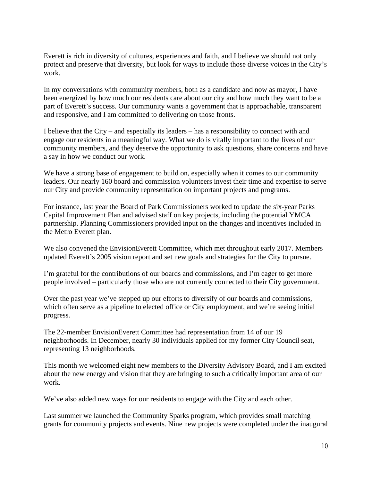Everett is rich in diversity of cultures, experiences and faith, and I believe we should not only protect and preserve that diversity, but look for ways to include those diverse voices in the City's work.

In my conversations with community members, both as a candidate and now as mayor, I have been energized by how much our residents care about our city and how much they want to be a part of Everett's success. Our community wants a government that is approachable, transparent and responsive, and I am committed to delivering on those fronts.

I believe that the City – and especially its leaders – has a responsibility to connect with and engage our residents in a meaningful way. What we do is vitally important to the lives of our community members, and they deserve the opportunity to ask questions, share concerns and have a say in how we conduct our work.

We have a strong base of engagement to build on, especially when it comes to our community leaders. Our nearly 160 board and commission volunteers invest their time and expertise to serve our City and provide community representation on important projects and programs.

For instance, last year the Board of Park Commissioners worked to update the six-year Parks Capital Improvement Plan and advised staff on key projects, including the potential YMCA partnership. Planning Commissioners provided input on the changes and incentives included in the Metro Everett plan.

We also convened the EnvisionEverett Committee, which met throughout early 2017. Members updated Everett's 2005 vision report and set new goals and strategies for the City to pursue.

I'm grateful for the contributions of our boards and commissions, and I'm eager to get more people involved – particularly those who are not currently connected to their City government.

Over the past year we've stepped up our efforts to diversify of our boards and commissions, which often serve as a pipeline to elected office or City employment, and we're seeing initial progress.

The 22-member EnvisionEverett Committee had representation from 14 of our 19 neighborhoods. In December, nearly 30 individuals applied for my former City Council seat, representing 13 neighborhoods.

This month we welcomed eight new members to the Diversity Advisory Board, and I am excited about the new energy and vision that they are bringing to such a critically important area of our work.

We've also added new ways for our residents to engage with the City and each other.

Last summer we launched the Community Sparks program, which provides small matching grants for community projects and events. Nine new projects were completed under the inaugural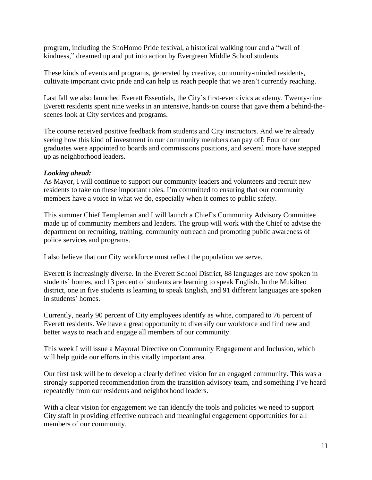program, including the SnoHomo Pride festival, a historical walking tour and a "wall of kindness," dreamed up and put into action by Evergreen Middle School students.

These kinds of events and programs, generated by creative, community-minded residents, cultivate important civic pride and can help us reach people that we aren't currently reaching.

Last fall we also launched Everett Essentials, the City's first-ever civics academy. Twenty-nine Everett residents spent nine weeks in an intensive, hands-on course that gave them a behind-thescenes look at City services and programs.

The course received positive feedback from students and City instructors. And we're already seeing how this kind of investment in our community members can pay off: Four of our graduates were appointed to boards and commissions positions, and several more have stepped up as neighborhood leaders.

#### *Looking ahead:*

As Mayor, I will continue to support our community leaders and volunteers and recruit new residents to take on these important roles. I'm committed to ensuring that our community members have a voice in what we do, especially when it comes to public safety.

This summer Chief Templeman and I will launch a Chief's Community Advisory Committee made up of community members and leaders. The group will work with the Chief to advise the department on recruiting, training, community outreach and promoting public awareness of police services and programs.

I also believe that our City workforce must reflect the population we serve.

Everett is increasingly diverse. In the Everett School District, 88 languages are now spoken in students' homes, and 13 percent of students are learning to speak English. In the Mukilteo district, one in five students is learning to speak English, and 91 different languages are spoken in students' homes.

Currently, nearly 90 percent of City employees identify as white, compared to 76 percent of Everett residents. We have a great opportunity to diversify our workforce and find new and better ways to reach and engage all members of our community.

This week I will issue a Mayoral Directive on Community Engagement and Inclusion, which will help guide our efforts in this vitally important area.

Our first task will be to develop a clearly defined vision for an engaged community. This was a strongly supported recommendation from the transition advisory team, and something I've heard repeatedly from our residents and neighborhood leaders.

With a clear vision for engagement we can identify the tools and policies we need to support City staff in providing effective outreach and meaningful engagement opportunities for all members of our community.